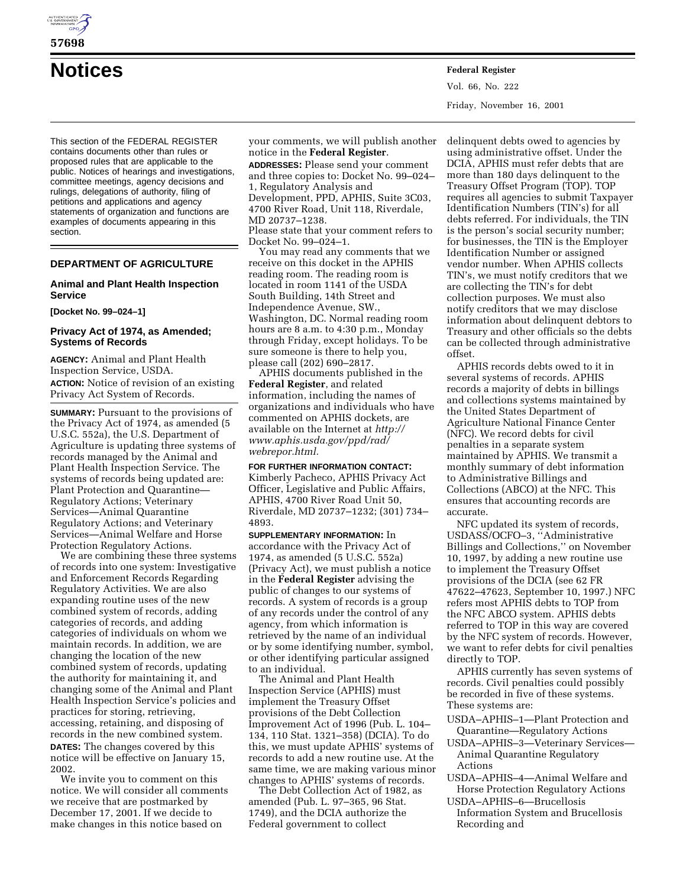

**57698**

**Notices Federal Register**

This section of the FEDERAL REGISTER contains documents other than rules or proposed rules that are applicable to the public. Notices of hearings and investigations, committee meetings, agency decisions and rulings, delegations of authority, filing of petitions and applications and agency statements of organization and functions are examples of documents appearing in this section.

## **DEPARTMENT OF AGRICULTURE**

## **Animal and Plant Health Inspection Service**

### **[Docket No. 99–024–1]**

## **Privacy Act of 1974, as Amended; Systems of Records**

**AGENCY:** Animal and Plant Health Inspection Service, USDA. **ACTION:** Notice of revision of an existing Privacy Act System of Records.

**SUMMARY:** Pursuant to the provisions of the Privacy Act of 1974, as amended (5 U.S.C. 552a), the U.S. Department of Agriculture is updating three systems of records managed by the Animal and Plant Health Inspection Service. The systems of records being updated are: Plant Protection and Quarantine— Regulatory Actions; Veterinary Services—Animal Quarantine Regulatory Actions; and Veterinary Services—Animal Welfare and Horse Protection Regulatory Actions.

We are combining these three systems of records into one system: Investigative and Enforcement Records Regarding Regulatory Activities. We are also expanding routine uses of the new combined system of records, adding categories of records, and adding categories of individuals on whom we maintain records. In addition, we are changing the location of the new combined system of records, updating the authority for maintaining it, and changing some of the Animal and Plant Health Inspection Service's policies and practices for storing, retrieving, accessing, retaining, and disposing of records in the new combined system. **DATES:** The changes covered by this notice will be effective on January 15, 2002.

We invite you to comment on this notice. We will consider all comments we receive that are postmarked by December 17, 2001. If we decide to make changes in this notice based on

your comments, we will publish another notice in the **Federal Register**.

**ADDRESSES:** Please send your comment and three copies to: Docket No. 99–024– 1, Regulatory Analysis and Development, PPD, APHIS, Suite 3C03, 4700 River Road, Unit 118, Riverdale, MD 20737–1238.

Please state that your comment refers to Docket No. 99–024–1.

You may read any comments that we receive on this docket in the APHIS reading room. The reading room is located in room 1141 of the USDA South Building, 14th Street and Independence Avenue, SW., Washington, DC. Normal reading room hours are 8 a.m. to 4:30 p.m., Monday through Friday, except holidays. To be sure someone is there to help you, please call (202) 690–2817.

APHIS documents published in the **Federal Register**, and related information, including the names of organizations and individuals who have commented on APHIS dockets, are available on the Internet at *http:// www.aphis.usda.gov/ppd/rad/ webrepor.html.*

# **FOR FURTHER INFORMATION CONTACT:**

Kimberly Pacheco, APHIS Privacy Act Officer, Legislative and Public Affairs, APHIS, 4700 River Road Unit 50, Riverdale, MD 20737–1232; (301) 734– 4893.

**SUPPLEMENTARY INFORMATION:** In accordance with the Privacy Act of 1974, as amended (5 U.S.C. 552a) (Privacy Act), we must publish a notice in the **Federal Register** advising the public of changes to our systems of records. A system of records is a group of any records under the control of any agency, from which information is retrieved by the name of an individual or by some identifying number, symbol, or other identifying particular assigned to an individual.

The Animal and Plant Health Inspection Service (APHIS) must implement the Treasury Offset provisions of the Debt Collection Improvement Act of 1996 (Pub. L. 104– 134, 110 Stat. 1321–358) (DCIA). To do this, we must update APHIS' systems of records to add a new routine use. At the same time, we are making various minor changes to APHIS' systems of records.

The Debt Collection Act of 1982, as amended (Pub. L. 97–365, 96 Stat. 1749), and the DCIA authorize the Federal government to collect

delinquent debts owed to agencies by using administrative offset. Under the DCIA, APHIS must refer debts that are more than 180 days delinquent to the Treasury Offset Program (TOP). TOP requires all agencies to submit Taxpayer Identification Numbers (TIN's) for all debts referred. For individuals, the TIN is the person's social security number; for businesses, the TIN is the Employer Identification Number or assigned vendor number. When APHIS collects TIN's, we must notify creditors that we are collecting the TIN's for debt collection purposes. We must also notify creditors that we may disclose information about delinquent debtors to Treasury and other officials so the debts can be collected through administrative offset.

APHIS records debts owed to it in several systems of records. APHIS records a majority of debts in billings and collections systems maintained by the United States Department of Agriculture National Finance Center (NFC). We record debts for civil penalties in a separate system maintained by APHIS. We transmit a monthly summary of debt information to Administrative Billings and Collections (ABCO) at the NFC. This ensures that accounting records are accurate.

NFC updated its system of records, USDASS/OCFO–3, ''Administrative Billings and Collections,'' on November 10, 1997, by adding a new routine use to implement the Treasury Offset provisions of the DCIA (see 62 FR 47622–47623, September 10, 1997.) NFC refers most APHIS debts to TOP from the NFC ABCO system. APHIS debts referred to TOP in this way are covered by the NFC system of records. However, we want to refer debts for civil penalties directly to TOP.

APHIS currently has seven systems of records. Civil penalties could possibly be recorded in five of these systems. These systems are:

- USDA–APHIS–1—Plant Protection and Quarantine—Regulatory Actions
- USDA–APHIS–3—Veterinary Services— Animal Quarantine Regulatory Actions
- USDA–APHIS–4—Animal Welfare and Horse Protection Regulatory Actions
- USDA–APHIS–6—Brucellosis Information System and Brucellosis Recording and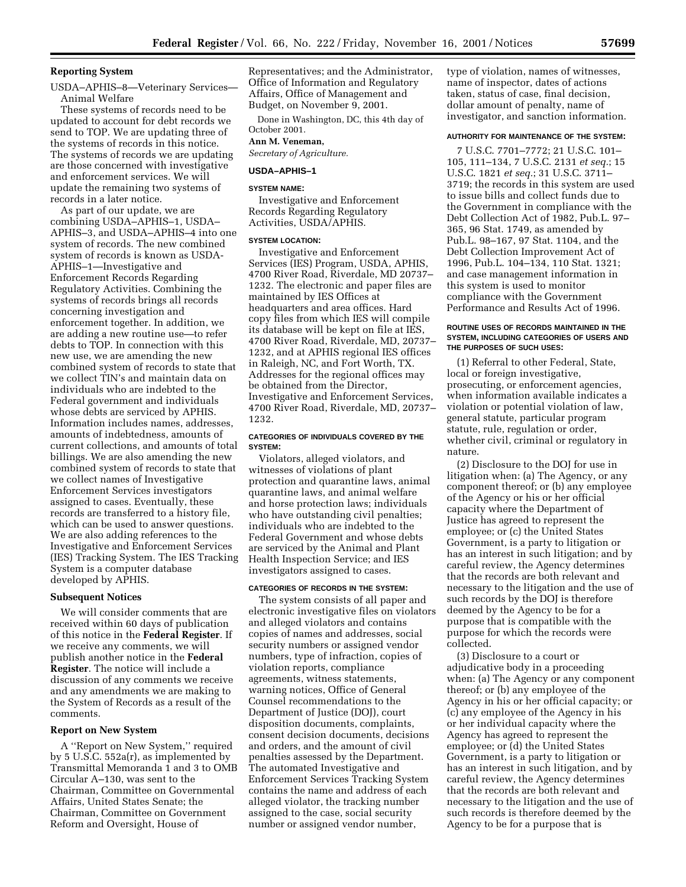## **Reporting System**

USDA–APHIS–8—Veterinary Services— Animal Welfare

These systems of records need to be updated to account for debt records we send to TOP. We are updating three of the systems of records in this notice. The systems of records we are updating are those concerned with investigative and enforcement services. We will update the remaining two systems of records in a later notice.

As part of our update, we are combining USDA–APHIS–1, USDA– APHIS–3, and USDA–APHIS–4 into one system of records. The new combined system of records is known as USDA-APHIS–1—Investigative and Enforcement Records Regarding Regulatory Activities. Combining the systems of records brings all records concerning investigation and enforcement together. In addition, we are adding a new routine use—to refer debts to TOP. In connection with this new use, we are amending the new combined system of records to state that we collect TIN's and maintain data on individuals who are indebted to the Federal government and individuals whose debts are serviced by APHIS. Information includes names, addresses, amounts of indebtedness, amounts of current collections, and amounts of total billings. We are also amending the new combined system of records to state that we collect names of Investigative Enforcement Services investigators assigned to cases. Eventually, these records are transferred to a history file, which can be used to answer questions. We are also adding references to the Investigative and Enforcement Services (IES) Tracking System. The IES Tracking System is a computer database developed by APHIS.

### **Subsequent Notices**

We will consider comments that are received within 60 days of publication of this notice in the **Federal Register**. If we receive any comments, we will publish another notice in the **Federal Register**. The notice will include a discussion of any comments we receive and any amendments we are making to the System of Records as a result of the comments.

### **Report on New System**

A ''Report on New System,'' required by 5 U.S.C. 552a(r), as implemented by Transmittal Memoranda 1 and 3 to OMB Circular A–130, was sent to the Chairman, Committee on Governmental Affairs, United States Senate; the Chairman, Committee on Government Reform and Oversight, House of

Representatives; and the Administrator, Office of Information and Regulatory Affairs, Office of Management and Budget, on November 9, 2001.

Done in Washington, DC, this 4th day of October 2001.

## **Ann M. Veneman,**

*Secretary of Agriculture.*

## **USDA–APHIS–1**

#### **SYSTEM NAME:**

Investigative and Enforcement Records Regarding Regulatory Activities, USDA/APHIS.

## **SYSTEM LOCATION:**

Investigative and Enforcement Services (IES) Program, USDA, APHIS, 4700 River Road, Riverdale, MD 20737– 1232. The electronic and paper files are maintained by IES Offices at headquarters and area offices. Hard copy files from which IES will compile its database will be kept on file at IES, 4700 River Road, Riverdale, MD, 20737– 1232, and at APHIS regional IES offices in Raleigh, NC, and Fort Worth, TX. Addresses for the regional offices may be obtained from the Director, Investigative and Enforcement Services, 4700 River Road, Riverdale, MD, 20737– 1232.

## **CATEGORIES OF INDIVIDUALS COVERED BY THE SYSTEM:**

Violators, alleged violators, and witnesses of violations of plant protection and quarantine laws, animal quarantine laws, and animal welfare and horse protection laws; individuals who have outstanding civil penalties; individuals who are indebted to the Federal Government and whose debts are serviced by the Animal and Plant Health Inspection Service; and IES investigators assigned to cases.

## **CATEGORIES OF RECORDS IN THE SYSTEM:**

The system consists of all paper and electronic investigative files on violators and alleged violators and contains copies of names and addresses, social security numbers or assigned vendor numbers, type of infraction, copies of violation reports, compliance agreements, witness statements, warning notices, Office of General Counsel recommendations to the Department of Justice (DOJ), court disposition documents, complaints, consent decision documents, decisions and orders, and the amount of civil penalties assessed by the Department. The automated Investigative and Enforcement Services Tracking System contains the name and address of each alleged violator, the tracking number assigned to the case, social security number or assigned vendor number,

type of violation, names of witnesses, name of inspector, dates of actions taken, status of case, final decision, dollar amount of penalty, name of investigator, and sanction information.

## **AUTHORITY FOR MAINTENANCE OF THE SYSTEM:**

7 U.S.C. 7701–7772; 21 U.S.C. 101– 105, 111–134, 7 U.S.C. 2131 *et seq.*; 15 U.S.C. 1821 *et seq.*; 31 U.S.C. 3711– 3719; the records in this system are used to issue bills and collect funds due to the Government in compliance with the Debt Collection Act of 1982, Pub.L. 97– 365, 96 Stat. 1749, as amended by Pub.L. 98–167, 97 Stat. 1104, and the Debt Collection Improvement Act of 1996, Pub.L. 104–134, 110 Stat. 1321; and case management information in this system is used to monitor compliance with the Government Performance and Results Act of 1996.

#### **ROUTINE USES OF RECORDS MAINTAINED IN THE SYSTEM, INCLUDING CATEGORIES OF USERS AND THE PURPOSES OF SUCH USES:**

(1) Referral to other Federal, State, local or foreign investigative, prosecuting, or enforcement agencies, when information available indicates a violation or potential violation of law, general statute, particular program statute, rule, regulation or order, whether civil, criminal or regulatory in nature.

(2) Disclosure to the DOJ for use in litigation when: (a) The Agency, or any component thereof; or (b) any employee of the Agency or his or her official capacity where the Department of Justice has agreed to represent the employee; or (c) the United States Government, is a party to litigation or has an interest in such litigation; and by careful review, the Agency determines that the records are both relevant and necessary to the litigation and the use of such records by the DOJ is therefore deemed by the Agency to be for a purpose that is compatible with the purpose for which the records were collected.

(3) Disclosure to a court or adjudicative body in a proceeding when: (a) The Agency or any component thereof; or (b) any employee of the Agency in his or her official capacity; or (c) any employee of the Agency in his or her individual capacity where the Agency has agreed to represent the employee; or (d) the United States Government, is a party to litigation or has an interest in such litigation, and by careful review, the Agency determines that the records are both relevant and necessary to the litigation and the use of such records is therefore deemed by the Agency to be for a purpose that is